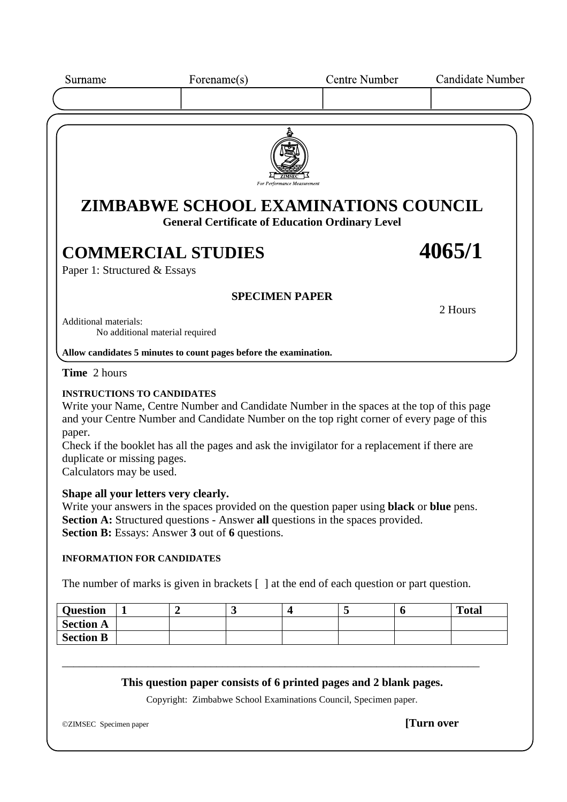| Surname             |                                                                                              | Forename(s)      |                       |                             | <b>Centre Number</b>                                                                                                                                                                                                                                                                    |   | <b>Candidate Number</b> |
|---------------------|----------------------------------------------------------------------------------------------|------------------|-----------------------|-----------------------------|-----------------------------------------------------------------------------------------------------------------------------------------------------------------------------------------------------------------------------------------------------------------------------------------|---|-------------------------|
|                     |                                                                                              |                  |                       |                             |                                                                                                                                                                                                                                                                                         |   |                         |
|                     |                                                                                              |                  |                       |                             |                                                                                                                                                                                                                                                                                         |   |                         |
|                     |                                                                                              |                  |                       | For Performance Measurement |                                                                                                                                                                                                                                                                                         |   |                         |
|                     |                                                                                              |                  |                       |                             | ZIMBABWE SCHOOL EXAMINATIONS COUNCIL<br><b>General Certificate of Education Ordinary Level</b>                                                                                                                                                                                          |   |                         |
|                     | <b>COMMERCIAL STUDIES</b><br>Paper 1: Structured & Essays                                    |                  |                       |                             |                                                                                                                                                                                                                                                                                         |   | 4065/1                  |
|                     |                                                                                              |                  | <b>SPECIMEN PAPER</b> |                             |                                                                                                                                                                                                                                                                                         |   |                         |
|                     | Additional materials:<br>No additional material required                                     |                  |                       |                             |                                                                                                                                                                                                                                                                                         |   | 2 Hours                 |
|                     | Allow candidates 5 minutes to count pages before the examination.                            |                  |                       |                             |                                                                                                                                                                                                                                                                                         |   |                         |
| <b>Time</b> 2 hours |                                                                                              |                  |                       |                             |                                                                                                                                                                                                                                                                                         |   |                         |
| paper.              | <b>INSTRUCTIONS TO CANDIDATES</b><br>duplicate or missing pages.<br>Calculators may be used. |                  |                       |                             | Write your Name, Centre Number and Candidate Number in the spaces at the top of this page<br>and your Centre Number and Candidate Number on the top right corner of every page of this<br>Check if the booklet has all the pages and ask the invigilator for a replacement if there are |   |                         |
|                     | Shape all your letters very clearly.<br>Section B: Essays: Answer 3 out of 6 questions.      |                  |                       |                             | Write your answers in the spaces provided on the question paper using <b>black</b> or <b>blue</b> pens.<br>Section A: Structured questions - Answer all questions in the spaces provided.                                                                                               |   |                         |
|                     | <b>INFORMATION FOR CANDIDATES</b>                                                            |                  |                       |                             | The number of marks is given in brackets $\lceil \cdot \rceil$ at the end of each question or part question.                                                                                                                                                                            |   |                         |
| Question            | $\mathbf{1}$                                                                                 | $\boldsymbol{2}$ | 3                     | $\overline{\mathbf{4}}$     | 5                                                                                                                                                                                                                                                                                       | 6 | <b>Total</b>            |
| <b>Section A</b>    |                                                                                              |                  |                       |                             |                                                                                                                                                                                                                                                                                         |   |                         |

# **This question paper consists of 6 printed pages and 2 blank pages.**

\_\_\_\_\_\_\_\_\_\_\_\_\_\_\_\_\_\_\_\_\_\_\_\_\_\_\_\_\_\_\_\_\_\_\_\_\_\_\_\_\_\_\_\_\_\_\_\_\_\_\_\_\_\_\_\_\_\_\_\_\_\_\_\_\_\_\_\_\_\_\_\_\_

Copyright: Zimbabwe School Examinations Council, Specimen paper.

ZIMSEC Specimen paper **[Turn over**

**Section B**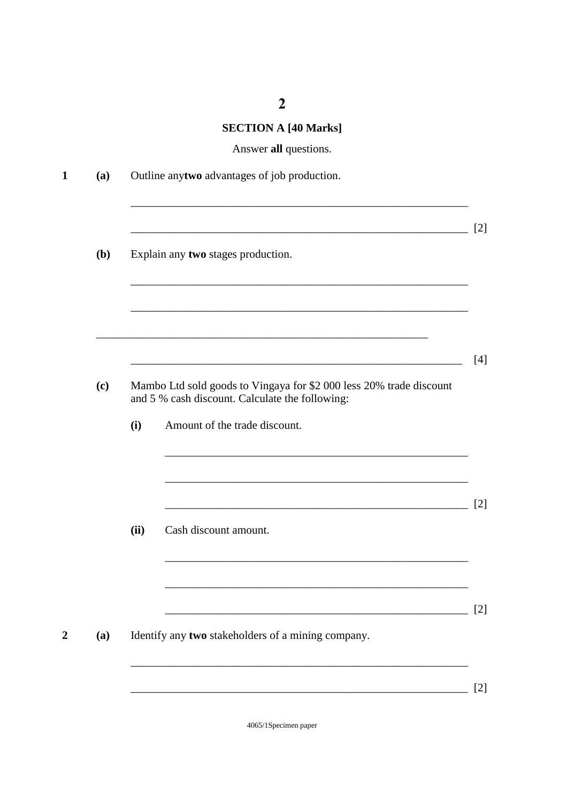**SECTION A [40 Marks]** 

 $\overline{2}$ 

Answer all questions.

| 1              | (a)        | Outline anytwo advantages of job production.                                                                           |                   |  |
|----------------|------------|------------------------------------------------------------------------------------------------------------------------|-------------------|--|
|                |            |                                                                                                                        | $\lceil 2 \rceil$ |  |
|                | <b>(b)</b> | Explain any two stages production.                                                                                     |                   |  |
|                |            |                                                                                                                        |                   |  |
|                | (c)        | Mambo Ltd sold goods to Vingaya for \$2 000 less 20% trade discount<br>and 5 % cash discount. Calculate the following: |                   |  |
|                |            | Amount of the trade discount.<br>(i)                                                                                   |                   |  |
|                |            |                                                                                                                        | $[2]$             |  |
|                |            | (ii)<br>Cash discount amount.                                                                                          |                   |  |
|                |            |                                                                                                                        | $[2]$             |  |
| $\overline{2}$ | (a)        | Identify any two stakeholders of a mining company.                                                                     |                   |  |
|                |            |                                                                                                                        | $[2]$             |  |

4065/1Specimen paper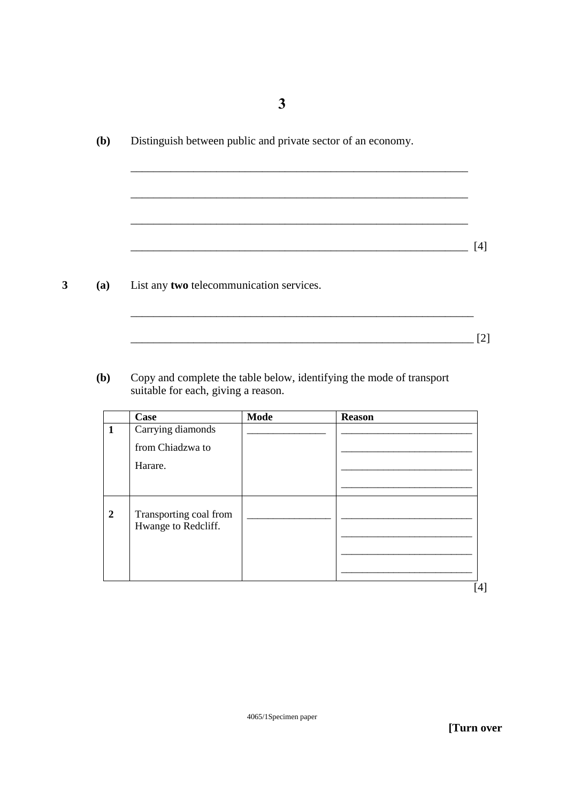**3**

|   | (b) | Distinguish between public and private sector of an economy. |       |  |  |
|---|-----|--------------------------------------------------------------|-------|--|--|
|   |     |                                                              |       |  |  |
|   |     |                                                              |       |  |  |
|   |     |                                                              |       |  |  |
|   |     |                                                              |       |  |  |
|   |     |                                                              | $[4]$ |  |  |
| 3 | (a) | List any two telecommunication services.                     |       |  |  |
|   |     |                                                              |       |  |  |
|   |     |                                                              | [2]   |  |  |

**(b)** Copy and complete the table below, identifying the mode of transport suitable for each, giving a reason.

|                  | <b>Case</b>                                   | <b>Mode</b> | <b>Reason</b> |
|------------------|-----------------------------------------------|-------------|---------------|
| $\mathbf{1}$     | Carrying diamonds                             |             |               |
|                  | from Chiadzwa to                              |             |               |
|                  | Harare.                                       |             |               |
|                  |                                               |             |               |
| $\boldsymbol{2}$ | Transporting coal from<br>Hwange to Redcliff. |             |               |
|                  |                                               |             | 4             |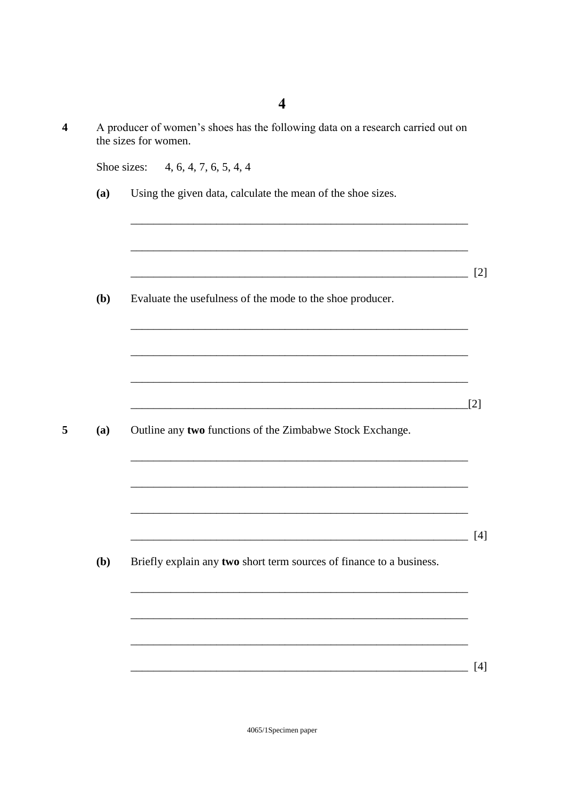| $\overline{\mathbf{4}}$ |     | A producer of women's shoes has the following data on a research carried out on<br>the sizes for women.               |                   |  |  |  |
|-------------------------|-----|-----------------------------------------------------------------------------------------------------------------------|-------------------|--|--|--|
|                         |     | Shoe sizes: $4, 6, 4, 7, 6, 5, 4, 4$                                                                                  |                   |  |  |  |
|                         | (a) | Using the given data, calculate the mean of the shoe sizes.                                                           |                   |  |  |  |
|                         |     |                                                                                                                       |                   |  |  |  |
|                         |     |                                                                                                                       | $\lceil 2 \rceil$ |  |  |  |
|                         | (b) | Evaluate the usefulness of the mode to the shoe producer.                                                             |                   |  |  |  |
|                         |     |                                                                                                                       |                   |  |  |  |
|                         |     |                                                                                                                       |                   |  |  |  |
|                         |     |                                                                                                                       | $\lceil 2 \rceil$ |  |  |  |
| 5                       | (a) | Outline any two functions of the Zimbabwe Stock Exchange.                                                             |                   |  |  |  |
|                         |     | <u> 1989 - Jan Sterling van de Frankryk van de Frankryk van de Frankryk van de Frankryk van de Frankryk van de Fr</u> |                   |  |  |  |
|                         |     |                                                                                                                       |                   |  |  |  |
|                         |     | <u> 1980 - Johann Barbara, martxa alemaniar argametar a contra a contra a contra a contra a contra a contra a co</u>  | [4]               |  |  |  |
|                         | (b) | Briefly explain any two short term sources of finance to a business.                                                  |                   |  |  |  |
|                         |     |                                                                                                                       |                   |  |  |  |
|                         |     |                                                                                                                       |                   |  |  |  |
|                         |     |                                                                                                                       | [4]               |  |  |  |

 $\overline{\mathbf{4}}$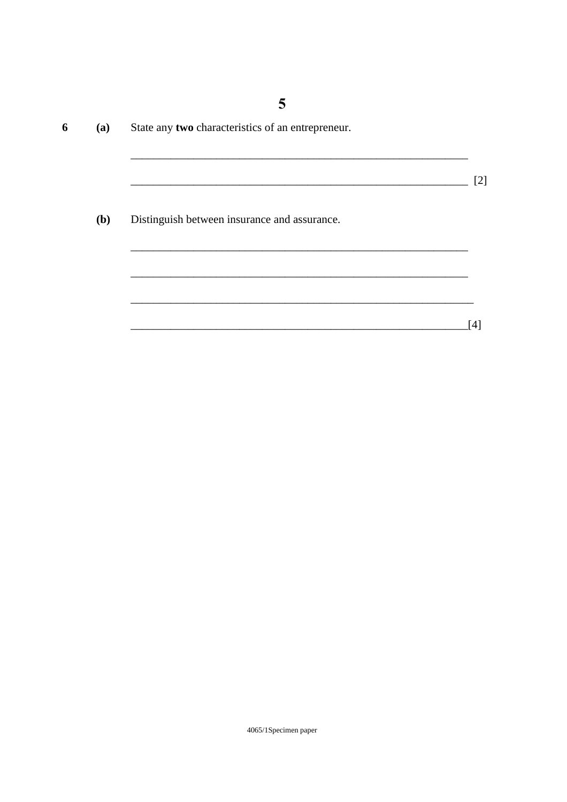$\overline{\mathbf{5}}$ 

State any two characteristics of an entrepreneur.  $\boldsymbol{6}$  $(a)$  $\overline{\phantom{a}1}$  [2]  $(b)$ Distinguish between insurance and assurance.  $\overline{\phantom{a}}$  $\begin{bmatrix} 4 \end{bmatrix}$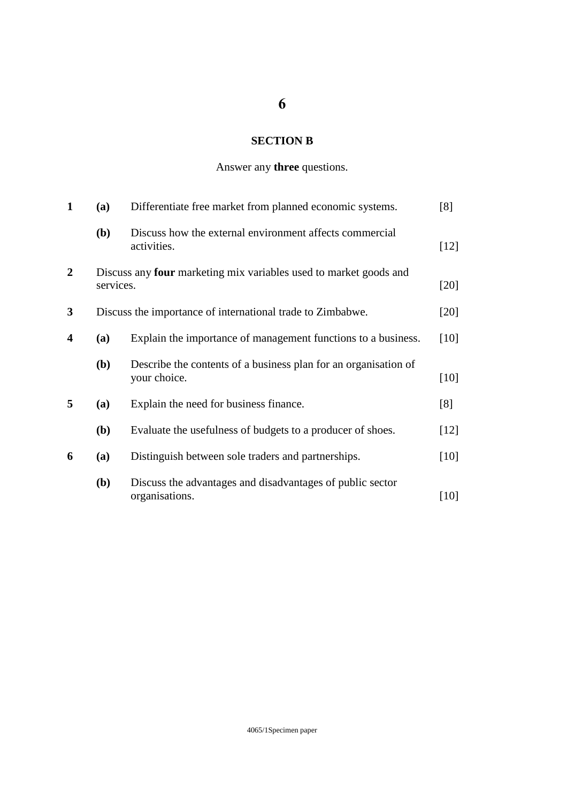# **6**

#### **SECTION B**

## Answer any **three** questions.

| $\mathbf{1}$     | (a)          | Differentiate free market from planned economic systems.                        | [8]    |
|------------------|--------------|---------------------------------------------------------------------------------|--------|
|                  | <b>(b)</b>   | Discuss how the external environment affects commercial<br>activities.          | $[12]$ |
| $\overline{2}$   | services.    | Discuss any <b>four</b> marketing mix variables used to market goods and        |        |
| 3                |              | Discuss the importance of international trade to Zimbabwe.                      | $[20]$ |
| $\boldsymbol{4}$ | <b>(a)</b>   | Explain the importance of management functions to a business.                   | $[10]$ |
|                  | ( <b>b</b> ) | Describe the contents of a business plan for an organisation of<br>your choice. | $[10]$ |
| 5                | (a)          | Explain the need for business finance.                                          | [8]    |
|                  | ( <b>b</b> ) | Evaluate the usefulness of budgets to a producer of shoes.                      | $[12]$ |
| 6                | (a)          | Distinguish between sole traders and partnerships.                              | $[10]$ |
|                  | <b>(b)</b>   | Discuss the advantages and disadvantages of public sector<br>organisations.     | $[10]$ |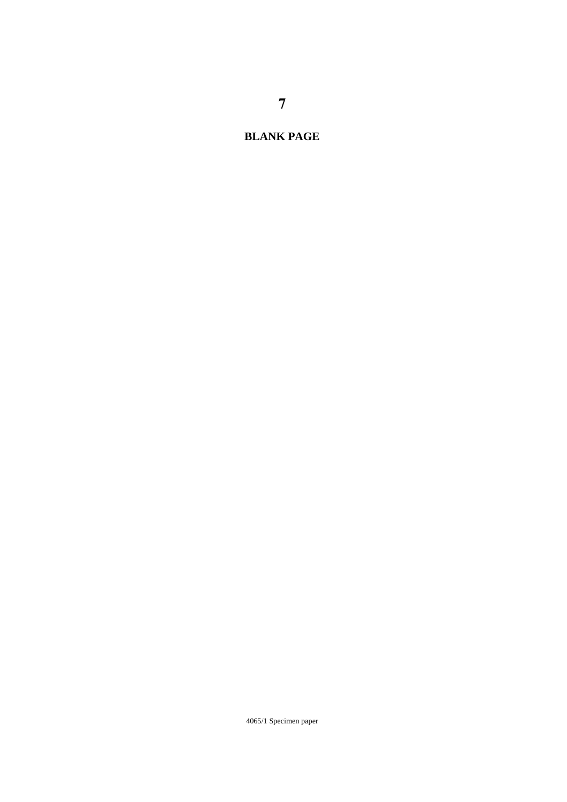**7**

### **BLANK PAGE**

4065/1 Specimen paper